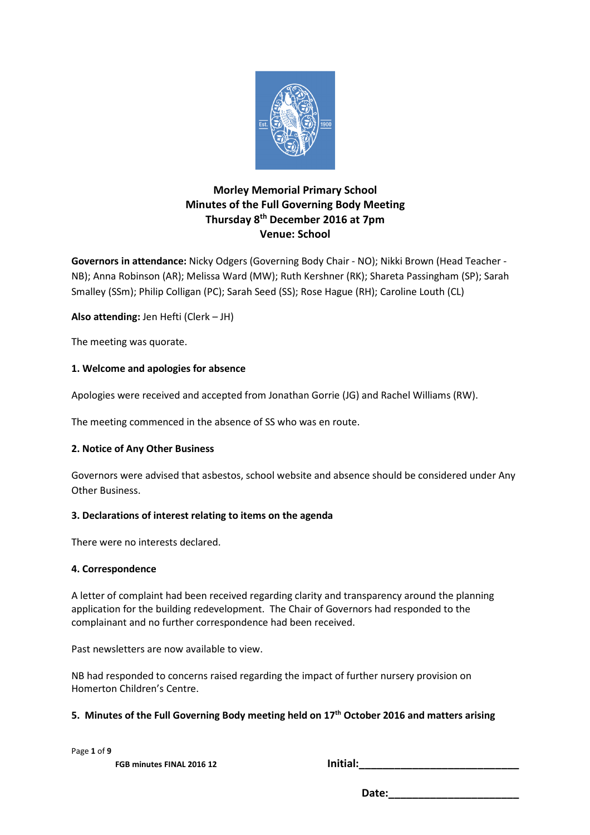

# **Morley Memorial Primary School Minutes of the Full Governing Body Meeting Thursday 8th December 2016 at 7pm Venue: School**

**Governors in attendance:** Nicky Odgers (Governing Body Chair - NO); Nikki Brown (Head Teacher - NB); Anna Robinson (AR); Melissa Ward (MW); Ruth Kershner (RK); Shareta Passingham (SP); Sarah Smalley (SSm); Philip Colligan (PC); Sarah Seed (SS); Rose Hague (RH); Caroline Louth (CL)

**Also attending:** Jen Hefti (Clerk – JH)

The meeting was quorate.

## **1. Welcome and apologies for absence**

Apologies were received and accepted from Jonathan Gorrie (JG) and Rachel Williams (RW).

The meeting commenced in the absence of SS who was en route.

## **2. Notice of Any Other Business**

Governors were advised that asbestos, school website and absence should be considered under Any Other Business.

## **3. Declarations of interest relating to items on the agenda**

There were no interests declared.

#### **4. Correspondence**

A letter of complaint had been received regarding clarity and transparency around the planning application for the building redevelopment. The Chair of Governors had responded to the complainant and no further correspondence had been received.

Past newsletters are now available to view.

NB had responded to concerns raised regarding the impact of further nursery provision on Homerton Children's Centre.

## **5. Minutes of the Full Governing Body meeting held on 17th October 2016 and matters arising**

Page **1** of **9** 

**FGB minutes FINAL 2016 12 Initial:**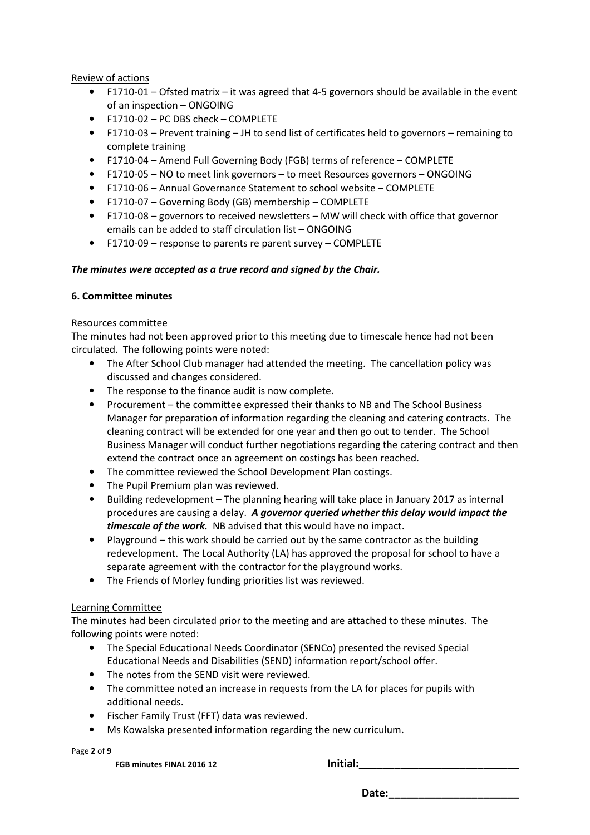### Review of actions

- F1710-01 Ofsted matrix it was agreed that 4-5 governors should be available in the event of an inspection – ONGOING
- F1710-02 PC DBS check COMPLETE
- F1710-03 Prevent training JH to send list of certificates held to governors remaining to complete training
- F1710-04 Amend Full Governing Body (FGB) terms of reference COMPLETE
- F1710-05 NO to meet link governors to meet Resources governors ONGOING
- F1710-06 Annual Governance Statement to school website COMPLETE
- F1710-07 Governing Body (GB) membership COMPLETE
- F1710-08 governors to received newsletters MW will check with office that governor emails can be added to staff circulation list – ONGOING
- F1710-09 response to parents re parent survey COMPLETE

## *The minutes were accepted as a true record and signed by the Chair.*

### **6. Committee minutes**

#### Resources committee

The minutes had not been approved prior to this meeting due to timescale hence had not been circulated. The following points were noted:

- The After School Club manager had attended the meeting. The cancellation policy was discussed and changes considered.
- The response to the finance audit is now complete.
- Procurement the committee expressed their thanks to NB and The School Business Manager for preparation of information regarding the cleaning and catering contracts. The cleaning contract will be extended for one year and then go out to tender. The School Business Manager will conduct further negotiations regarding the catering contract and then extend the contract once an agreement on costings has been reached.
- The committee reviewed the School Development Plan costings.
- The Pupil Premium plan was reviewed.
- Building redevelopment The planning hearing will take place in January 2017 as internal procedures are causing a delay. *A governor queried whether this delay would impact the timescale of the work.* NB advised that this would have no impact.
- Playground this work should be carried out by the same contractor as the building redevelopment. The Local Authority (LA) has approved the proposal for school to have a separate agreement with the contractor for the playground works.
- The Friends of Morley funding priorities list was reviewed.

## Learning Committee

The minutes had been circulated prior to the meeting and are attached to these minutes. The following points were noted:

- The Special Educational Needs Coordinator (SENCo) presented the revised Special Educational Needs and Disabilities (SEND) information report/school offer.
- The notes from the SEND visit were reviewed.
- The committee noted an increase in requests from the LA for places for pupils with additional needs.
- Fischer Family Trust (FFT) data was reviewed.
- Ms Kowalska presented information regarding the new curriculum.

Page **2** of **9** 

**FGB minutes FINAL 2016 12 Initial:**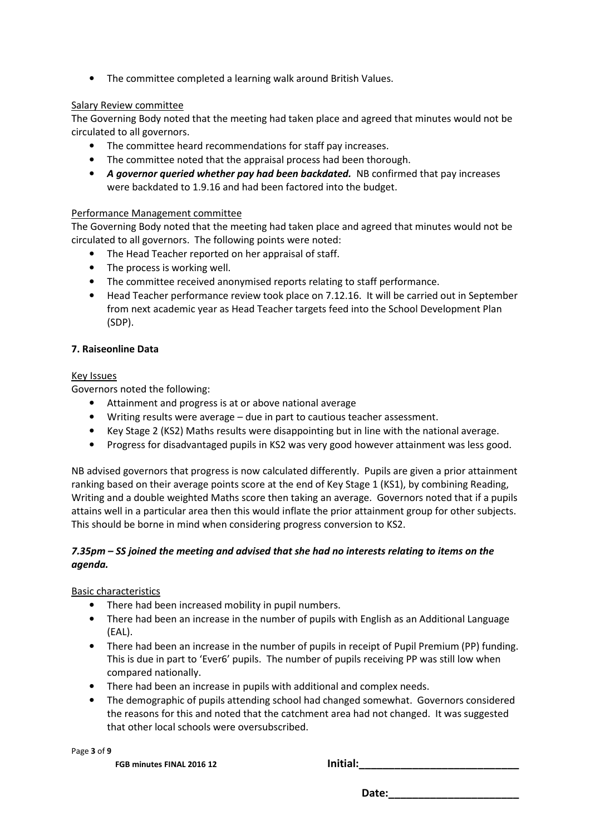• The committee completed a learning walk around British Values.

## Salary Review committee

The Governing Body noted that the meeting had taken place and agreed that minutes would not be circulated to all governors.

- The committee heard recommendations for staff pay increases.
- The committee noted that the appraisal process had been thorough.
- *A governor queried whether pay had been backdated.* NB confirmed that pay increases were backdated to 1.9.16 and had been factored into the budget.

### Performance Management committee

The Governing Body noted that the meeting had taken place and agreed that minutes would not be circulated to all governors. The following points were noted:

- The Head Teacher reported on her appraisal of staff.
- The process is working well.
- The committee received anonymised reports relating to staff performance.
- Head Teacher performance review took place on 7.12.16. It will be carried out in September from next academic year as Head Teacher targets feed into the School Development Plan (SDP).

### **7. Raiseonline Data**

### Key Issues

Governors noted the following:

- Attainment and progress is at or above national average
- Writing results were average due in part to cautious teacher assessment.
- Key Stage 2 (KS2) Maths results were disappointing but in line with the national average.
- Progress for disadvantaged pupils in KS2 was very good however attainment was less good.

NB advised governors that progress is now calculated differently. Pupils are given a prior attainment ranking based on their average points score at the end of Key Stage 1 (KS1), by combining Reading, Writing and a double weighted Maths score then taking an average. Governors noted that if a pupils attains well in a particular area then this would inflate the prior attainment group for other subjects. This should be borne in mind when considering progress conversion to KS2.

## *7.35pm – SS joined the meeting and advised that she had no interests relating to items on the agenda.*

## Basic characteristics

- There had been increased mobility in pupil numbers.
- There had been an increase in the number of pupils with English as an Additional Language (EAL).
- There had been an increase in the number of pupils in receipt of Pupil Premium (PP) funding. This is due in part to 'Ever6' pupils. The number of pupils receiving PP was still low when compared nationally.
- There had been an increase in pupils with additional and complex needs.
- The demographic of pupils attending school had changed somewhat. Governors considered the reasons for this and noted that the catchment area had not changed. It was suggested that other local schools were oversubscribed.

Page **3** of **9** 

**FGB minutes FINAL 2016 12 Initial:\_\_\_\_\_\_\_\_\_\_\_\_\_\_\_\_\_\_\_\_\_\_\_\_\_\_\_**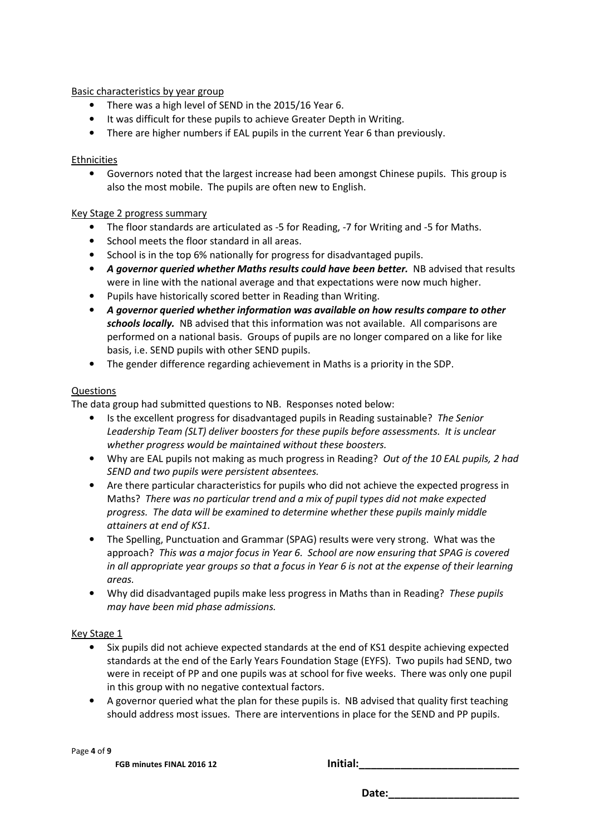### Basic characteristics by year group

- There was a high level of SEND in the 2015/16 Year 6.
- It was difficult for these pupils to achieve Greater Depth in Writing.
- There are higher numbers if EAL pupils in the current Year 6 than previously.

#### Ethnicities

• Governors noted that the largest increase had been amongst Chinese pupils. This group is also the most mobile. The pupils are often new to English.

### Key Stage 2 progress summary

- The floor standards are articulated as -5 for Reading, -7 for Writing and -5 for Maths.
- School meets the floor standard in all areas.
- School is in the top 6% nationally for progress for disadvantaged pupils.
- A governor queried whether Maths results could have been better. NB advised that results were in line with the national average and that expectations were now much higher.
- Pupils have historically scored better in Reading than Writing.
- *A governor queried whether information was available on how results compare to other schools locally.* NB advised that this information was not available. All comparisons are performed on a national basis. Groups of pupils are no longer compared on a like for like basis, i.e. SEND pupils with other SEND pupils.
- The gender difference regarding achievement in Maths is a priority in the SDP.

### Questions

The data group had submitted questions to NB. Responses noted below:

- Is the excellent progress for disadvantaged pupils in Reading sustainable? *The Senior Leadership Team (SLT) deliver boosters for these pupils before assessments. It is unclear whether progress would be maintained without these boosters.*
- Why are EAL pupils not making as much progress in Reading? *Out of the 10 EAL pupils, 2 had SEND and two pupils were persistent absentees.*
- Are there particular characteristics for pupils who did not achieve the expected progress in Maths? *There was no particular trend and a mix of pupil types did not make expected progress. The data will be examined to determine whether these pupils mainly middle attainers at end of KS1.*
- The Spelling, Punctuation and Grammar (SPAG) results were very strong. What was the approach? *This was a major focus in Year 6. School are now ensuring that SPAG is covered in all appropriate year groups so that a focus in Year 6 is not at the expense of their learning areas.*
- Why did disadvantaged pupils make less progress in Maths than in Reading? *These pupils may have been mid phase admissions.*

## Key Stage 1

- Six pupils did not achieve expected standards at the end of KS1 despite achieving expected standards at the end of the Early Years Foundation Stage (EYFS). Two pupils had SEND, two were in receipt of PP and one pupils was at school for five weeks. There was only one pupil in this group with no negative contextual factors.
- A governor queried what the plan for these pupils is. NB advised that quality first teaching should address most issues. There are interventions in place for the SEND and PP pupils.

Page **4** of **9** 

**FGB minutes FINAL 2016 12 Initial:\_\_\_\_\_\_\_\_\_\_\_\_\_\_\_\_\_\_\_\_\_\_\_\_\_\_\_**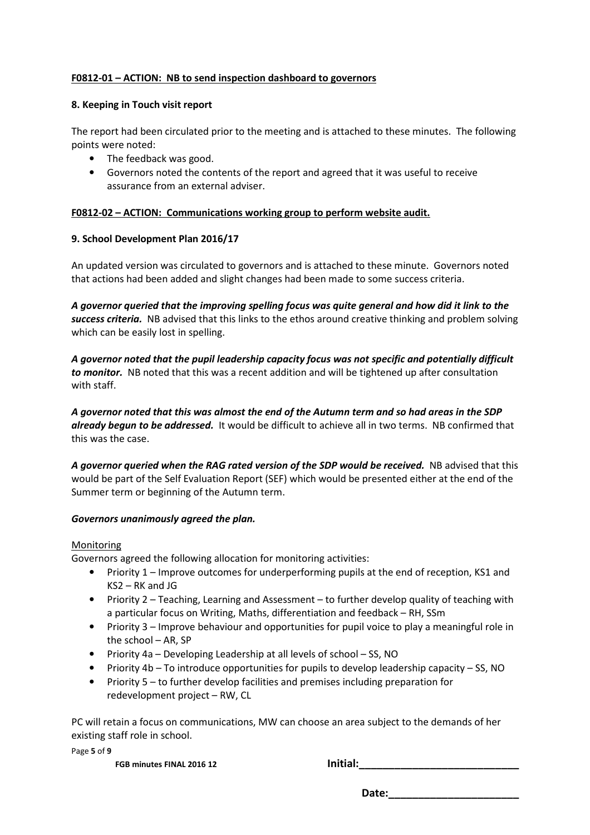### **F0812-01 – ACTION: NB to send inspection dashboard to governors**

#### **8. Keeping in Touch visit report**

The report had been circulated prior to the meeting and is attached to these minutes. The following points were noted:

- The feedback was good.
- Governors noted the contents of the report and agreed that it was useful to receive assurance from an external adviser.

### **F0812-02 – ACTION: Communications working group to perform website audit.**

### **9. School Development Plan 2016/17**

An updated version was circulated to governors and is attached to these minute. Governors noted that actions had been added and slight changes had been made to some success criteria.

*A governor queried that the improving spelling focus was quite general and how did it link to the success criteria.* NB advised that this links to the ethos around creative thinking and problem solving which can be easily lost in spelling.

*A governor noted that the pupil leadership capacity focus was not specific and potentially difficult to monitor.* NB noted that this was a recent addition and will be tightened up after consultation with staff.

*A governor noted that this was almost the end of the Autumn term and so had areas in the SDP already begun to be addressed.* It would be difficult to achieve all in two terms. NB confirmed that this was the case.

A governor queried when the RAG rated version of the SDP would be received. NB advised that this would be part of the Self Evaluation Report (SEF) which would be presented either at the end of the Summer term or beginning of the Autumn term.

#### *Governors unanimously agreed the plan.*

#### Monitoring

Governors agreed the following allocation for monitoring activities:

- Priority 1 Improve outcomes for underperforming pupils at the end of reception, KS1 and KS2 – RK and JG
- Priority 2 Teaching, Learning and Assessment to further develop quality of teaching with a particular focus on Writing, Maths, differentiation and feedback – RH, SSm
- Priority 3 Improve behaviour and opportunities for pupil voice to play a meaningful role in the school – AR, SP
- Priority 4a Developing Leadership at all levels of school SS, NO
- Priority 4b To introduce opportunities for pupils to develop leadership capacity SS, NO
- Priority 5 to further develop facilities and premises including preparation for redevelopment project – RW, CL

PC will retain a focus on communications, MW can choose an area subject to the demands of her existing staff role in school.

Page **5** of **9** 

**FGB minutes FINAL 2016 12 Initial:**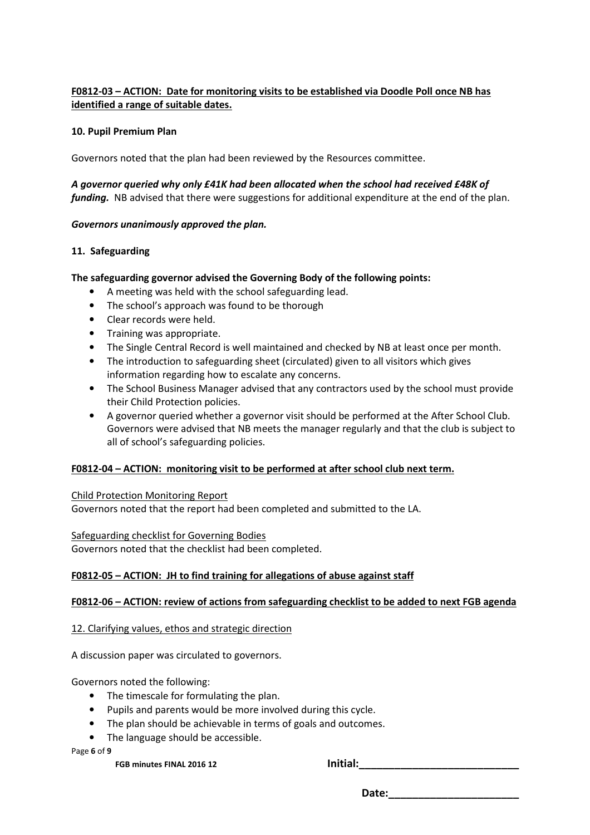## **F0812-03 – ACTION: Date for monitoring visits to be established via Doodle Poll once NB has identified a range of suitable dates.**

### **10. Pupil Premium Plan**

Governors noted that the plan had been reviewed by the Resources committee.

## *A governor queried why only £41K had been allocated when the school had received £48K of funding.* NB advised that there were suggestions for additional expenditure at the end of the plan.

### *Governors unanimously approved the plan.*

### **11. Safeguarding**

### **The safeguarding governor advised the Governing Body of the following points:**

- A meeting was held with the school safeguarding lead.
- The school's approach was found to be thorough
- Clear records were held.
- Training was appropriate.
- The Single Central Record is well maintained and checked by NB at least once per month.
- The introduction to safeguarding sheet (circulated) given to all visitors which gives information regarding how to escalate any concerns.
- The School Business Manager advised that any contractors used by the school must provide their Child Protection policies.
- A governor queried whether a governor visit should be performed at the After School Club. Governors were advised that NB meets the manager regularly and that the club is subject to all of school's safeguarding policies.

## **F0812-04 – ACTION: monitoring visit to be performed at after school club next term.**

Child Protection Monitoring Report

Governors noted that the report had been completed and submitted to the LA.

Safeguarding checklist for Governing Bodies

Governors noted that the checklist had been completed.

## **F0812-05 – ACTION: JH to find training for allegations of abuse against staff**

## **F0812-06 – ACTION: review of actions from safeguarding checklist to be added to next FGB agenda**

#### 12. Clarifying values, ethos and strategic direction

A discussion paper was circulated to governors.

Governors noted the following:

- The timescale for formulating the plan.
- Pupils and parents would be more involved during this cycle.
- The plan should be achievable in terms of goals and outcomes.
- The language should be accessible.

Page **6** of **9** 

**FGB minutes FINAL 2016 12 Initial:**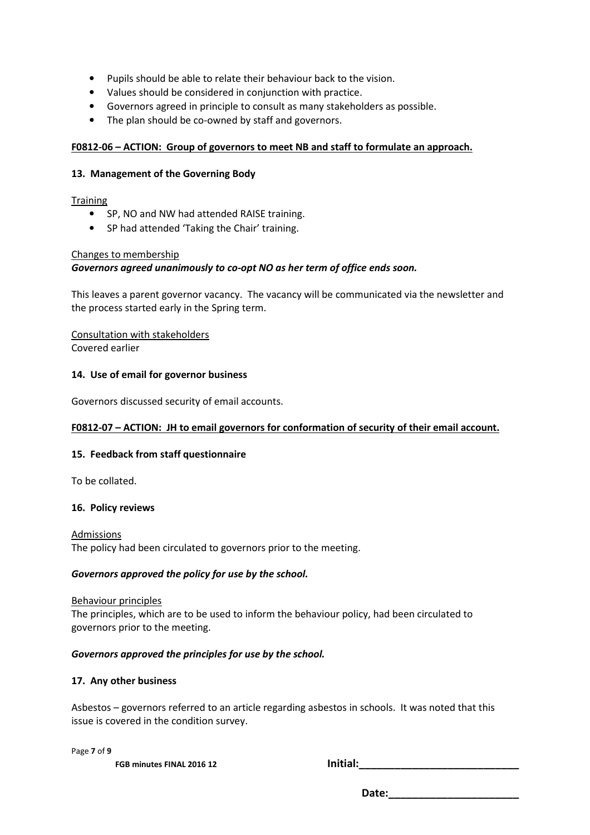- Pupils should be able to relate their behaviour back to the vision.
- Values should be considered in conjunction with practice.
- Governors agreed in principle to consult as many stakeholders as possible.
- The plan should be co-owned by staff and governors.

## **F0812-06 – ACTION: Group of governors to meet NB and staff to formulate an approach.**

### **13. Management of the Governing Body**

### **Training**

- SP, NO and NW had attended RAISE training.
- SP had attended 'Taking the Chair' training.

### Changes to membership

## *Governors agreed unanimously to co-opt NO as her term of office ends soon.*

This leaves a parent governor vacancy. The vacancy will be communicated via the newsletter and the process started early in the Spring term.

Consultation with stakeholders Covered earlier

### **14. Use of email for governor business**

Governors discussed security of email accounts.

## **F0812-07 – ACTION: JH to email governors for conformation of security of their email account.**

#### **15. Feedback from staff questionnaire**

To be collated.

#### **16. Policy reviews**

Admissions The policy had been circulated to governors prior to the meeting.

#### *Governors approved the policy for use by the school.*

#### Behaviour principles

The principles, which are to be used to inform the behaviour policy, had been circulated to governors prior to the meeting.

#### *Governors approved the principles for use by the school.*

#### **17. Any other business**

Asbestos – governors referred to an article regarding asbestos in schools. It was noted that this issue is covered in the condition survey.

Page **7** of **9** 

**FGB minutes FINAL 2016 12 Initial:\_\_\_\_\_\_\_\_\_\_\_\_\_\_\_\_\_\_\_\_\_\_\_\_\_\_\_**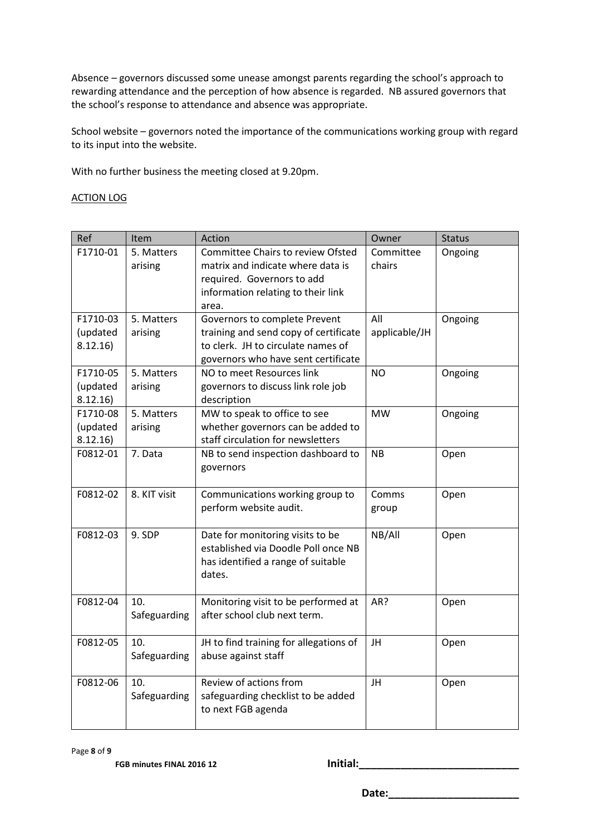Absence – governors discussed some unease amongst parents regarding the school's approach to rewarding attendance and the perception of how absence is regarded. NB assured governors that the school's response to attendance and absence was appropriate.

School website – governors noted the importance of the communications working group with regard to its input into the website.

With no further business the meeting closed at 9.20pm.

#### ACTION LOG

| Ref                 | Item         | Action                                            | Owner         | <b>Status</b> |
|---------------------|--------------|---------------------------------------------------|---------------|---------------|
| F1710-01            | 5. Matters   | Committee Chairs to review Ofsted                 | Committee     | Ongoing       |
|                     | arising      | matrix and indicate where data is                 | chairs        |               |
|                     |              | required. Governors to add                        |               |               |
|                     |              | information relating to their link                |               |               |
|                     |              | area.                                             |               |               |
| F1710-03            | 5. Matters   | Governors to complete Prevent                     | All           | Ongoing       |
| (updated            | arising      | training and send copy of certificate             | applicable/JH |               |
| 8.12.16             |              | to clerk. JH to circulate names of                |               |               |
|                     |              | governors who have sent certificate               |               |               |
| F1710-05            | 5. Matters   | NO to meet Resources link                         | <b>NO</b>     | Ongoing       |
| (updated<br>8.12.16 | arising      | governors to discuss link role job<br>description |               |               |
| F1710-08            | 5. Matters   | MW to speak to office to see                      | <b>MW</b>     | Ongoing       |
| (updated            | arising      | whether governors can be added to                 |               |               |
| 8.12.16)            |              | staff circulation for newsletters                 |               |               |
| F0812-01            | 7. Data      | NB to send inspection dashboard to                | <b>NB</b>     | Open          |
|                     |              | governors                                         |               |               |
|                     |              |                                                   |               |               |
| F0812-02            | 8. KIT visit | Communications working group to                   | Comms         | Open          |
|                     |              | perform website audit.                            | group         |               |
|                     |              |                                                   |               |               |
| F0812-03            | 9. SDP       | Date for monitoring visits to be                  | NB/All        | Open          |
|                     |              | established via Doodle Poll once NB               |               |               |
|                     |              | has identified a range of suitable                |               |               |
|                     |              | dates.                                            |               |               |
| F0812-04            | 10.          | Monitoring visit to be performed at               | AR?           | Open          |
|                     | Safeguarding | after school club next term.                      |               |               |
|                     |              |                                                   |               |               |
| F0812-05            | 10.          | JH to find training for allegations of            | JH            | Open          |
|                     | Safeguarding | abuse against staff                               |               |               |
|                     |              |                                                   |               |               |
| F0812-06            | 10.          | Review of actions from                            | JH            | Open          |
|                     | Safeguarding | safeguarding checklist to be added                |               |               |
|                     |              | to next FGB agenda                                |               |               |
|                     |              |                                                   |               |               |

Page **8** of **9** 

**FGB minutes FINAL 2016 12 Initial:\_\_\_\_\_\_\_\_\_\_\_\_\_\_\_\_\_\_\_\_\_\_\_\_\_\_\_**